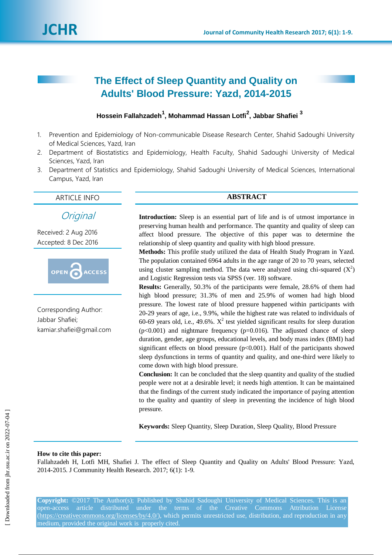# **The Effect of Sleep Quantity and Quality on Adults' Blood Pressure: Yazd, 2014-2015**

# **Hossein Fallahzadeh<sup>1</sup> , Mohammad Hassan Lotfi<sup>2</sup> , Jabbar Shafiei <sup>3</sup>**

- 1. Prevention and Epidemiology of Non-communicable Disease Research Center, Shahid Sadoughi University of Medical Sciences, Yazd, Iran
- 2. Department of Biostatistics and Epidemiology, Health Faculty, Shahid Sadoughi University of Medical Sciences, Yazd, Iran
- 3. Department of Statistics and Epidemiology, Shahid Sadoughi University of Medical Sciences, International Campus, Yazd, Iran

ARTICLE INFO **ABSTRACT**

**Original** 

Received: 2 Aug 2016 Accepted: 8 Dec 2016



Corresponding Author: Jabbar Shafiei; kamiar.shafiei@gmail.com

**Introduction:** Sleep is an essential part of life and is of utmost importance in preserving human health and performance. The quantity and quality of sleep can affect blood pressure. The objective of this paper was to determine the relationship of sleep quantity and quality with high blood pressure.

**Methods:** This profile study utilized the data of Health Study Program in Yazd. The population contained 6964 adults in the age range of 20 to 70 years, selected using cluster sampling method. The data were analyzed using chi-squared  $(X^2)$ and Logistic Regression tests via SPSS (ver. 18) software.

**Results:** Generally, 50.3% of the participants were female, 28.6% of them had high blood pressure; 31.3% of men and 25.9% of women had high blood pressure. The lowest rate of blood pressure happened within participants with 20-29 years of age, i.e., 9.9%, while the highest rate was related to individuals of 60-69 years old, i.e., 49.6%.  $X^2$  test yielded significant results for sleep duration  $(p<0.001)$  and nightmare frequency  $(p=0.016)$ . The adjusted chance of sleep duration, gender, age groups, educational levels, and body mass index (BMI) had significant effects on blood pressure  $(p<0.001)$ . Half of the participants showed sleep dysfunctions in terms of quantity and quality, and one-third were likely to come down with high blood pressure.

**Conclusion:** It can be concluded that the sleep quantity and quality of the studied people were not at a desirable level; it needs high attention. It can be maintained that the findings of the current study indicated the importance of paying attention to the quality and quantity of sleep in preventing the incidence of high blood pressure.

**Keywords:** Sleep Quantity, Sleep Duration, Sleep Quality, Blood Pressure

# **How to cite this paper:**

Fallahzadeh H, Lotfi MH, Shafiei J. The effect of Sleep Quantity and Quality on Adults' Blood Pressure: Yazd, 2014-2015. J Community Health Research. 2017; 6(1): 1-9.

**Copyright:** ©2017 The Author(s); Published by Shahid Sadoughi University of Medical Sciences. This is an open-access article distributed under the terms of the Creative Commons Attribution License (https://creativecommons.org/licenses/by/4.0/), which permits unrestricted use, distribution, and reproduction in any medium, provided the original work is properly cited.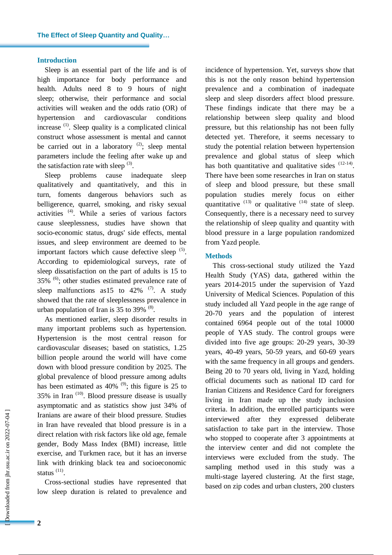### **Introduction**

Sleep is an essential part of the life and is of high importance for body performance and health. Adults need 8 to 9 hours of night sleep; otherwise, their performance and social activities will weaken and the odds ratio (OR) of hypertension and cardiovascular conditions increase  $(1)$ . Sleep quality is a complicated clinical construct whose assessment is mental and cannot be carried out in a laboratory  $(2)$ ; sleep mental parameters include the feeling after wake up and the satisfaction rate with sleep  $(3)$ .

Sleep problems cause inadequate sleep qualitatively and quantitatively, and this in turn, foments dangerous behaviors such as belligerence, quarrel, smoking, and risky sexual activities (4) . While a series of various factors cause sleeplessness, studies have shown that socio-economic status, drugs' side effects, mental issues, and sleep environment are deemed to be important factors which cause defective sleep  $(5)$ . According to epidemiological surveys, rate of sleep dissatisfaction on the part of adults is 15 to 35% <sup>(6)</sup>; other studies estimated prevalence rate of sleep malfunctions as 15 to 42%  $(7)$ . A study showed that the rate of sleeplessness prevalence in urban population of Iran is 35 to 39%  $(8)$ .

As mentioned earlier, sleep disorder results in many important problems such as hypertension. Hypertension is the most central reason for cardiovascular diseases; based on statistics, 1.25 billion people around the world will have come down with blood pressure condition by 2025. The global prevalence of blood pressure among adults has been estimated as  $40\%$ <sup>(9)</sup>; this figure is 25 to  $35\%$  in Iran  $(10)$ . Blood pressure disease is usually asymptomatic and as statistics show just 34% of Iranians are aware of their blood pressure. Studies in Iran have revealed that blood pressure is in a direct relation with risk factors like old age, female gender, Body Mass Index (BMI) increase, little exercise, and Turkmen race, but it has an inverse link with drinking black tea and socioeconomic status<sup>(11)</sup>.

Cross-sectional studies have represented that low sleep duration is related to prevalence and incidence of hypertension. Yet, surveys show that this is not the only reason behind hypertension prevalence and a combination of inadequate sleep and sleep disorders affect blood pressure. These findings indicate that there may be a relationship between sleep quality and blood pressure, but this relationship has not been fully detected yet. Therefore, it seems necessary to study the potential relation between hypertension prevalence and global status of sleep which has both quantitative and qualitative sides  $(12-14)$ . There have been some researches in Iran on status of sleep and blood pressure, but these small population studies merely focus on either quantitative  $(13)$  or qualitative  $(14)$  state of sleep. Consequently, there is a necessary need to survey the relationship of sleep quality and quantity with blood pressure in a large population randomized from Yazd people.

# **Methods**

This cross-sectional study utilized the Yazd Health Study (YAS) data, gathered within the years 2014-2015 under the supervision of Yazd University of Medical Sciences. Population of this study included all Yazd people in the age range of 20-70 years and the population of interest contained 6964 people out of the total 10000 people of YAS study. The control groups were divided into five age groups: 20-29 years, 30-39 years, 40-49 years, 50-59 years, and 60-69 years with the same frequency in all groups and genders. Being 20 to 70 years old, living in Yazd, holding official documents such as national ID card for Iranian Citizens and Residence Card for foreigners living in Iran made up the study inclusion criteria. In addition, the enrolled participants were interviewed after they expressed deliberate satisfaction to take part in the interview. Those who stopped to cooperate after 3 appointments at the interview center and did not complete the interviews were excluded from the study. The sampling method used in this study was a multi-stage layered clustering. At the first stage, based on zip codes and urban clusters, 200 clusters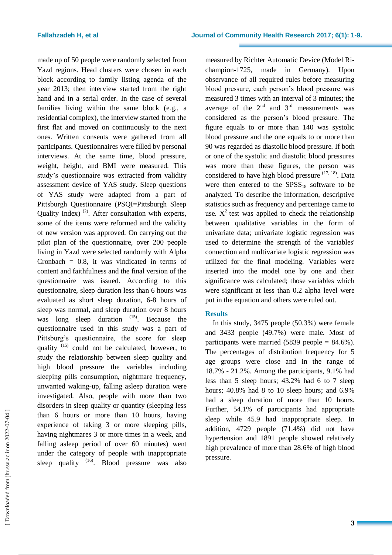made up of 50 people were randomly selected from Yazd regions. Head clusters were chosen in each block according to family listing agenda of the year 2013; then interview started from the right hand and in a serial order. In the case of several families living within the same block (e.g., a residential complex), the interview started from the first flat and moved on continuously to the next ones. Written consents were gathered from all participants. Questionnaires were filled by personal interviews. At the same time, blood pressure, weight, height, and BMI were measured. This study's questionnaire was extracted from validity assessment device of YAS study. Sleep questions of YAS study were adapted from a part of Pittsburgh Questionnaire (PSQI=Pittsburgh Sleep Quality Index)  $(2)$ . After consultation with experts, some of the items were reformed and the validity of new version was approved. On carrying out the pilot plan of the questionnaire, over 200 people living in Yazd were selected randomly with Alpha Cronbach  $= 0.8$ , it was vindicated in terms of content and faithfulness and the final version of the questionnaire was issued. According to this questionnaire, sleep duration less than 6 hours was evaluated as short sleep duration, 6-8 hours of sleep was normal, and sleep duration over 8 hours was long sleep duration  $(15)$ . Because the questionnaire used in this study was a part of Pittsburg's questionnaire, the score for sleep quality  $(15)$  could not be calculated, however, to study the relationship between sleep quality and high blood pressure the variables including sleeping pills consumption, nightmare frequency, unwanted waking-up, falling asleep duration were investigated. Also, people with more than two disorders in sleep quality or quantity (sleeping less than 6 hours or more than 10 hours, having experience of taking 3 or more sleeping pills, having nightmares 3 or more times in a week, and falling asleep period of over 60 minutes) went under the category of people with inappropriate sleep quality <sup>(16)</sup>. Blood pressure was also measured by Richter Automatic Device (Model Richampion-1725, made in Germany). Upon observance of all required rules before measuring blood pressure, each person's blood pressure was measured 3 times with an interval of 3 minutes; the average of the  $2<sup>nd</sup>$  and  $3<sup>rd</sup>$  measurements was considered as the person's blood pressure. The figure equals to or more than 140 was systolic blood pressure and the one equals to or more than 90 was regarded as diastolic blood pressure. If both or one of the systolic and diastolic blood pressures was more than these figures, the person was considered to have high blood pressure  $(17, 18)$ . Data were then entered to the  $SPSS_{18}$  software to be analyzed. To describe the information, descriptive statistics such as frequency and percentage came to use.  $X^2$  test was applied to check the relationship between qualitative variables in the form of univariate data; univariate logistic regression was used to determine the strength of the variables' connection and multivariate logistic regression was utilized for the final modeling. Variables were inserted into the model one by one and their significance was calculated; those variables which were significant at less than 0.2 alpha level were put in the equation and others were ruled out.

# **Results**

In this study, 3475 people (50.3%) were female and 3433 people (49.7%) were male. Most of participants were married  $(5839 \text{ people} = 84.6\%)$ . The percentages of distribution frequency for 5 age groups were close and in the range of 18.7% - 21.2%. Among the participants, 9.1% had less than 5 sleep hours; 43.2% had 6 to 7 sleep hours; 40.8% had 8 to 10 sleep hours; and 6.9% had a sleep duration of more than 10 hours. Further, 54.1% of participants had appropriate sleep while 45.9 had inappropriate sleep. In addition, 4729 people (71.4%) did not have hypertension and 1891 people showed relatively high prevalence of more than 28.6% of high blood pressure.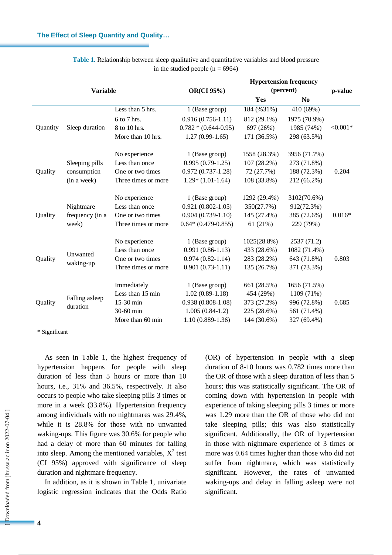| <b>Variable</b> |                                       |                     | <b>Hypertension frequency</b> |              |                |            |  |
|-----------------|---------------------------------------|---------------------|-------------------------------|--------------|----------------|------------|--|
|                 |                                       |                     | <b>OR(CI 95%)</b>             | (percent)    | p-value        |            |  |
|                 |                                       |                     |                               | Yes          | N <sub>0</sub> |            |  |
|                 |                                       | Less than 5 hrs.    | 1 (Base group)                | 184 (%31%)   | 410 (69%)      |            |  |
| Quantity        | Sleep duration                        | 6 to 7 hrs.         | $0.916(0.756-1.11)$           | 812 (29.1%)  | 1975 (70.9%)   |            |  |
|                 |                                       | 8 to 10 hrs.        | $0.782 * (0.644 - 0.95)$      | 697 (26%)    | 1985 (74%)     | $< 0.001*$ |  |
|                 |                                       | More than 10 hrs.   | $1.27(0.99-1.65)$             | 171 (36.5%)  | 298 (63.5%)    |            |  |
|                 |                                       | No experience       | 1 (Base group)                | 1558 (28.3%) | 3956 (71.7%)   |            |  |
| Quality         | Sleeping pills<br>consumption         | Less than once      | $0.995(0.79-1.25)$            | 107 (28.2%)  | 273 (71.8%)    |            |  |
|                 |                                       | One or two times    | $0.972(0.737-1.28)$           | 72 (27.7%)   | 188 (72.3%)    | 0.204      |  |
|                 | (in a week)                           | Three times or more | $1.29*(1.01-1.64)$            | 108 (33.8%)  | 212 (66.2%)    |            |  |
| Quality         | Nightmare<br>frequency (in a<br>week) | No experience       | 1 (Base group)                | 1292 (29.4%) | 3102(70.6%)    |            |  |
|                 |                                       | Less than once      | $0.921(0.802 - 1.05)$         | 350(27.7%)   | 912(72.3%)     |            |  |
|                 |                                       | One or two times    | $0.904(0.739-1.10)$           | 145 (27.4%)  | 385 (72.6%)    | $0.016*$   |  |
|                 |                                       | Three times or more | $0.64*(0.479-0.855)$          | 61(21%)      | 229 (79%)      |            |  |
|                 |                                       | No experience       | 1 (Base group)                | 1025(28.8%)  | 2537 (71.2)    |            |  |
|                 |                                       | Less than once      | $0.991(0.86-1.13)$            | 433 (28.6%)  | 1082 (71.4%)   |            |  |
| Quality         | Unwanted<br>waking-up                 | One or two times    | $0.974(0.82-1.14)$            | 283 (28.2%)  | 643 (71.8%)    | 0.803      |  |
|                 |                                       | Three times or more | $0.901(0.73-1.11)$            | 135 (26.7%)  | 371 (73.3%)    |            |  |
| Quality         | Falling asleep<br>duration            | Immediately         | 1 (Base group)                | 661 (28.5%)  | 1656 (71.5%)   |            |  |
|                 |                                       | Less than 15 min    | $1.02(0.89-1.18)$             | 454 (29%)    | 1109 (71%)     |            |  |
|                 |                                       | 15-30 min           | $0.938(0.808-1.08)$           | 373 (27.2%)  | 996 (72.8%)    | 0.685      |  |
|                 |                                       | 30-60 min           | $1.005(0.84-1.2)$             | 225 (28.6%)  | 561 (71.4%)    |            |  |
|                 |                                       | More than 60 min    | $1.10(0.889-1.36)$            | 144 (30.6%)  | 327 (69.4%)    |            |  |
|                 |                                       |                     |                               |              |                |            |  |

| Table 1. Relationship between sleep qualitative and quantitative variables and blood pressure |  |
|-----------------------------------------------------------------------------------------------|--|
| in the studied people ( $n = 6964$ )                                                          |  |

\* Significant

As seen in Table 1, the highest frequency of hypertension happens for people with sleep duration of less than 5 hours or more than 10 hours, i.e., 31% and 36.5%, respectively. It also occurs to people who take sleeping pills 3 times or more in a week (33.8%). Hypertension frequency among individuals with no nightmares was 29.4%, while it is 28.8% for those with no unwanted waking-ups. This figure was 30.6% for people who had a delay of more than 60 minutes for falling into sleep. Among the mentioned variables,  $X^2$  test (CI 95%) approved with significance of sleep duration and nightmare frequency.

In addition, as it is shown in Table 1, univariate logistic regression indicates that the Odds Ratio (OR) of hypertension in people with a sleep duration of 8-10 hours was 0.782 times more than the OR of those with a sleep duration of less than 5 hours; this was statistically significant. The OR of coming down with hypertension in people with experience of taking sleeping pills 3 times or more was 1.29 more than the OR of those who did not take sleeping pills; this was also statistically significant. Additionally, the OR of hypertension in those with nightmare experience of 3 times or more was 0.64 times higher than those who did not suffer from nightmare, which was statistically significant. However, the rates of unwanted waking-ups and delay in falling asleep were not significant.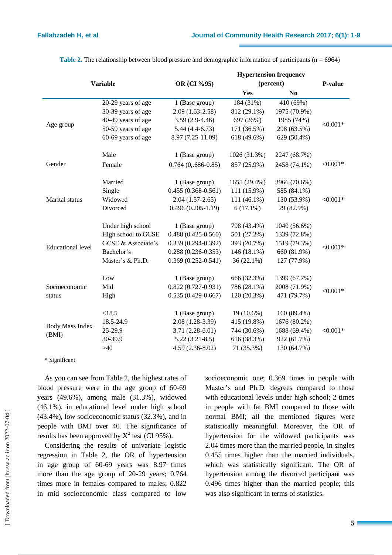| <b>Variable</b>          |                     | <b>Hypertension frequency</b>       |              |                |             |  |
|--------------------------|---------------------|-------------------------------------|--------------|----------------|-------------|--|
|                          |                     | OR (CI %95)                         | (percent)    |                | P-value     |  |
|                          |                     |                                     | Yes          | N <sub>0</sub> |             |  |
|                          | 20-29 years of age  | 1 (Base group)                      | 184 (31%)    | 410 (69%)      |             |  |
|                          | 30-39 years of age  | $2.09(1.63-2.58)$                   | 812 (29.1%)  | 1975 (70.9%)   |             |  |
|                          | 40-49 years of age  | $3.59(2.9-4.46)$                    | 697 (26%)    | 1985 (74%)     |             |  |
| Age group                | 50-59 years of age  | $5.44(4.4-6.73)$                    | 171 (36.5%)  | 298 (63.5%)    | $< 0.001*$  |  |
|                          | 60-69 years of age  | 8.97 (7.25-11.09)                   | 618 (49.6%)  | 629 (50.4%)    |             |  |
|                          | Male                | 1 (Base group)                      | 1026 (31.3%) | 2247 (68.7%)   |             |  |
| Gender                   | Female              | $0.764(0, .686-0.85)$               | 857 (25.9%)  | 2458 (74.1%)   | $< 0.001*$  |  |
|                          | Married             | 1 (Base group)                      | 1655 (29.4%) | 3966 (70.6%)   |             |  |
|                          | Single              | $0.455(0.368 - 0.561)$              | 111 (15.9%)  | 585 (84.1%)    | ${<}0.001*$ |  |
| Marital status           | Widowed             | $2.04(1.57-2.65)$                   | 111 (46.1%)  | 130 (53.9%)    |             |  |
|                          | Divorced            | $0.496(0.205-1.19)$                 | $6(17.1\%)$  | 29 (82.9%)     |             |  |
|                          | Under high school   | 1 (Base group)                      | 798 (43.4%)  | 1040 (56.6%)   |             |  |
|                          | High school to GCSE | $0.488(0.425 - 0.560)$              | 501 (27.2%)  | 1339 (72.8%)   | $< 0.001*$  |  |
|                          | GCSE & Associate's  | $0.339(0.294 - 0.392)$              | 393 (20.7%)  | 1519 (79.3%)   |             |  |
| <b>Educational level</b> | Bachelor's          | $0.288(0.236 - 0.353)$              | 146 (18.1%)  | 660 (81.9%)    |             |  |
|                          | Master's & Ph.D.    | $0.369(0.252 - 0.541)$              | $36(22.1\%)$ | 127 (77.9%)    |             |  |
|                          | Low                 | 1 (Base group)                      | 666 (32.3%)  | 1399 (67.7%)   |             |  |
| Socioeconomic            | Mid                 | $0.822(0.727-0.931)$<br>786 (28.1%) |              | 2008 (71.9%)   |             |  |
| status                   | High                | $0.535(0.429 - 0.667)$              | 120 (20.3%)  | 471 (79.7%)    | $<0.001*$   |  |
|                          | < 18.5              | 1 (Base group)                      | 19 (10.6%)   | 160 (89.4%)    |             |  |
|                          | 18.5-24.9           | $2.08(1.28-3.39)$                   | 415 (19.8%)  | 1676 (80.2%)   |             |  |
| <b>Body Mass Index</b>   | 25-29.9             | $3.71(2.28-6.01)$                   | 744 (30.6%)  | 1688 (69.4%)   | $< 0.001*$  |  |
| (BMI)                    | 30-39.9             | $5.22(3.21-8.5)$                    | 616 (38.3%)  | 922 (61.7%)    |             |  |
|                          | $>40$               | 4.59 (2.36-8.02)                    | 71 (35.3%)   | 130 (64.7%)    |             |  |

**Table 2.** The relationship between blood pressure and demographic information of participants ( $n = 6964$ )

\* Significant

As you can see from Table 2, the highest rates of blood pressure were in the age group of 60-69 years (49.6%), among male (31.3%), widowed (46.1%), in educational level under high school (43.4%), low socioeconomic status (32.3%), and in people with BMI over 40. The significance of results has been approved by  $X^2$  test (CI 95%).

Considering the results of univariate logistic regression in Table 2, the OR of hypertension in age group of 60-69 years was 8.97 times more than the age group of 20-29 years; 0.764 times more in females compared to males; 0.822 in mid socioeconomic class compared to low

socioeconomic one; 0.369 times in people with Master's and Ph.D. degrees compared to those with educational levels under high school; 2 times in people with fat BMI compared to those with normal BMI; all the mentioned figures were statistically meaningful. Moreover, the OR of hypertension for the widowed participants was 2.04 times more than the married people, in singles 0.455 times higher than the married individuals, which was statistically significant. The OR of hypertension among the divorced participant was 0.496 times higher than the married people; this was also significant in terms of statistics.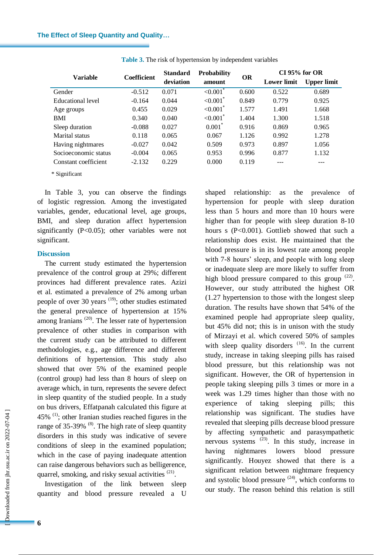|                      | <b>Coefficient</b> | <b>Standard</b><br>deviation | <b>Probability</b><br>amount | <b>OR</b> | $CI$ 95% for OR    |                    |
|----------------------|--------------------|------------------------------|------------------------------|-----------|--------------------|--------------------|
| <b>Variable</b>      |                    |                              |                              |           | <b>Lower</b> limit | <b>Upper limit</b> |
| Gender               | $-0.512$           | 0.071                        | $< 0.001$ <sup>*</sup>       | 0.600     | 0.522              | 0.689              |
| Educational level    | $-0.164$           | 0.044                        | $< 0.001$ <sup>*</sup>       | 0.849     | 0.779              | 0.925              |
| Age groups           | 0.455              | 0.029                        | ${<}0.001$ <sup>*</sup>      | 1.577     | 1.491              | 1.668              |
| <b>BMI</b>           | 0.340              | 0.040                        | ${<}0.001$ <sup>*</sup>      | 1.404     | 1.300              | 1.518              |
| Sleep duration       | $-0.088$           | 0.027                        | $0.001$ <sup>*</sup>         | 0.916     | 0.869              | 0.965              |
| Marital status       | 0.118              | 0.065                        | 0.067                        | 1.126     | 0.992              | 1.278              |
| Having nightmares    | $-0.027$           | 0.042                        | 0.509                        | 0.973     | 0.897              | 1.056              |
| Socioeconomic status | $-0.004$           | 0.065                        | 0.953                        | 0.996     | 0.877              | 1.132              |
| Constant coefficient | $-2.132$           | 0.229                        | 0.000                        | 0.119     |                    |                    |

**Table 3.** The risk of hypertension by independent variables

\* Significant

In Table 3, you can observe the findings of logistic regression. Among the investigated variables, gender, educational level, age groups, BMI, and sleep duration affect hypertension significantly (P<0.05); other variables were not significant.

#### **Discussion**

The current study estimated the hypertension prevalence of the control group at 29%; different provinces had different prevalence rates. Azizi et al. estimated a prevalence of 2% among urban people of over 30 years  $(19)$ ; other studies estimated the general prevalence of hypertension at 15% among Iranians<sup> $(20)$ </sup>. The lesser rate of hypertension prevalence of other studies in comparison with the current study can be attributed to different methodologies, e.g., age difference and different definitions of hypertension. This study also showed that over 5% of the examined people (control group) had less than 8 hours of sleep on average which, in turn, represents the severe defect in sleep quantity of the studied people. In a study on bus drivers, Effatpanah calculated this figure at  $45\%$ <sup>(1)</sup>; other Iranian studies reached figures in the range of  $35-39\%$  <sup>(8)</sup>. The high rate of sleep quantity disorders in this study was indicative of severe conditions of sleep in the examined population; which in the case of paying inadequate attention can raise dangerous behaviors such as belligerence, quarrel, smoking, and risky sexual activities <sup>(21)</sup>.

Investigation of the link between sleep quantity and blood pressure revealed a U

shaped relationship: as the prevalence of hypertension for people with sleep duration less than 5 hours and more than 10 hours were higher than for people with sleep duration 8-10 hours s (P<0.001). Gottlieb showed that such a relationship does exist. He maintained that the blood pressure is in its lowest rate among people with 7-8 hours' sleep, and people with long sleep or inadequate sleep are more likely to suffer from high blood pressure compared to this group  $(22)$ . However, our study attributed the highest OR (1.27 hypertension to those with the longest sleep duration. The results have shown that 54% of the examined people had appropriate sleep quality, but 45% did not; this is in unison with the study of Mirzayi et al. which covered 50% of samples with sleep quality disorders  $(16)$ . In the current study, increase in taking sleeping pills has raised blood pressure, but this relationship was not significant. However, the OR of hypertension in people taking sleeping pills 3 times or more in a week was 1.29 times higher than those with no experience of taking sleeping pills; this relationship was significant. The studies have revealed that sleeping pills decrease blood pressure by affecting sympathetic and parasympathetic nervous systems <sup>(23)</sup>. In this study, increase in having nightmares lowers blood pressure significantly. Houyez showed that there is a significant relation between nightmare frequency and systolic blood pressure  $(24)$ , which conforms to our study. The reason behind this relation is still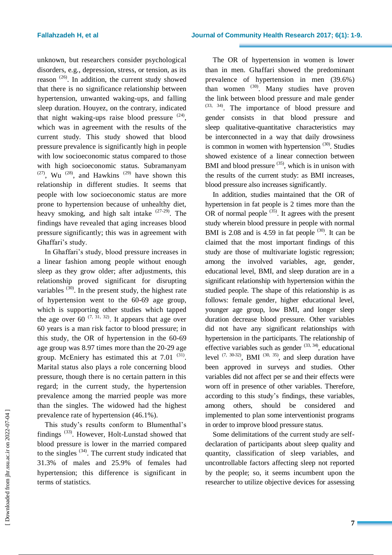unknown, but researchers consider psychological disorders, e.g., depression, stress, or tension, as its reason  $(26)$ . In addition, the current study showed that there is no significance relationship between hypertension, unwanted waking-ups, and falling sleep duration. Houyez, on the contrary, indicated that night waking-ups raise blood pressure  $(24)$ , which was in agreement with the results of the current study. This study showed that blood pressure prevalence is significantly high in people with low socioeconomic status compared to those with high socioeconomic status. Subramanyam  $(27)$ , Wu  $(28)$ , and Hawkins  $(29)$  have shown this relationship in different studies. It seems that people with low socioeconomic status are more prone to hypertension because of unhealthy diet, heavy smoking, and high salt intake <sup>(27-29)</sup>. The findings have revealed that aging increases blood pressure significantly; this was in agreement with Ghaffari's study.

In Ghaffari's study, blood pressure increases in a linear fashion among people without enough sleep as they grow older; after adjustments, this relationship proved significant for disrupting variables  $(30)$ . In the present study, the highest rate of hypertension went to the 60-69 age group, which is supporting other studies which tapped the age over 60  $(7, 31, 32)$ . It appears that age over 60 years is a man risk factor to blood pressure; in this study, the OR of hypertension in the 60-69 age group was 8.97 times more than the 20-29 age group. McEniery has estimated this at  $7.01$ <sup>(31)</sup>. Marital status also plays a role concerning blood pressure, though there is no certain pattern in this regard; in the current study, the hypertension prevalence among the married people was more than the singles. The widowed had the highest prevalence rate of hypertension (46.1%).

This study's results conform to Blumenthal's findings<sup>(33)</sup>. However, Holt-Lunstad showed that blood pressure is lower in the married compared to the singles  $(34)$ . The current study indicated that 31.3% of males and 25.9% of females had hypertension; this difference is significant in terms of statistics.

The OR of hypertension in women is lower than in men. Ghaffari showed the predominant prevalence of hypertension in men (39.6%) than women  $(30)$ . Many studies have proven the link between blood pressure and male gender (33, 34) . The importance of blood pressure and gender consists in that blood pressure and sleep qualitative-quantitative characteristics may be interconnected in a way that daily drowsiness is common in women with hypertension  $(30)$ . Studies showed existence of a linear connection between BMI and blood pressure <sup>(35)</sup>, which is in unison with the results of the current study: as BMI increases, blood pressure also increases significantly.

In addition, studies maintained that the OR of hypertension in fat people is 2 times more than the OR of normal people  $(35)$ . It agrees with the present study wherein blood pressure in people with normal BMI is  $2.08$  and is  $4.59$  in fat people  $(30)$ . It can be claimed that the most important findings of this study are those of multivariate logistic regression; among the involved variables, age, gender, educational level, BMI, and sleep duration are in a significant relationship with hypertension within the studied people. The shape of this relationship is as follows: female gender, higher educational level, younger age group, low BMI, and longer sleep duration decrease blood pressure. Other variables did not have any significant relationships with hypertension in the participants. The relationship of effective variables such as gender  $(33, 34)$ , educational level  $(7, 30-32)$ , BMI  $(30, 35)$ , and sleep duration have been approved in surveys and studies. Other variables did not affect per se and their effects were worn off in presence of other variables. Therefore, according to this study's findings, these variables, among others, should be considered and implemented to plan some interventionist programs in order to improve blood pressure status.

Some delimitations of the current study are selfdeclaration of participants about sleep quality and quantity, classification of sleep variables, and uncontrollable factors affecting sleep not reported by the people; so, it seems incumbent upon the researcher to utilize objective devices for assessing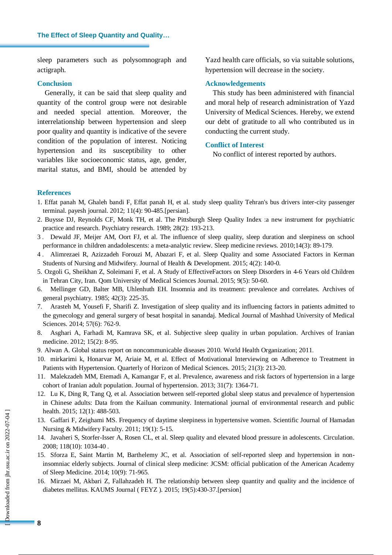sleep parameters such as polysomnograph and actigraph.

# **Conclusion**

Generally, it can be said that sleep quality and quantity of the control group were not desirable and needed special attention. Moreover, the interrelationship between hypertension and sleep poor quality and quantity is indicative of the severe condition of the population of interest. Noticing hypertension and its susceptibility to other variables like socioeconomic status, age, gender, marital status, and BMI, should be attended by Yazd health care officials, so via suitable solutions, hypertension will decrease in the society.

# **Acknowledgements**

This study has been administered with financial and moral help of research administration of Yazd University of Medical Sciences. Hereby, we extend our debt of gratitude to all who contributed us in conducting the current study.

#### **Conflict of Interest**

No conflict of interest reported by authors.

### **References**

- 1. Effat panah M, Ghaleh bandi F, Effat panah H, et al. study sleep quality Tehran's bus drivers inter-city passenger terminal. payesh journal. 2012; 11(4): 90-485.[persian].
- 2. Buysse DJ, Reynolds CF, Monk TH, et al. The Pittsburgh Sleep Quality Index :a new instrument for psychiatric practice and research. Psychiatry research. 1989; 28(2): 193-213.
- 3 . Dewald JF, Meijer AM, Oort FJ, et al. The influence of sleep quality, sleep duration and sleepiness on school performance in children andadolescents: a meta-analytic review. Sleep medicine reviews. 2010;14(3): 89-179.
- 4 . Alimrezaei R, Azizzadeh Forouzi M, Abazari F, et al. Sleep Quality and some Associated Factors in Kerman Students of Nursing and Midwifery. Journal of Health & Development. 2015; 4(2): 140-0.
- 5. Ozgoli G, Sheikhan Z, Soleimani F, et al. A Study of EffectiveFactors on Sleep Disorders in 4-6 Years old Children in Tehran City, Iran. Qom University of Medical Sciences Journal. 2015; 9(5): 50-60.
- 6. Mellinger GD, Balter MB, Uhlenhuth EH. Insomnia and its treatment: prevalence and correlates. Archives of general psychiatry. 1985; 42(3): 225-35.
- 7. Arasteh M, Yousefi F, Sharifi Z. Investigation of sleep quality and its influencing factors in patients admitted to the gynecology and general surgery of besat hospital in sanandaj. Medical Journal of Mashhad University of Medical Sciences. 2014; 57(6): 762-9.
- 8. Asghari A, Farhadi M, Kamrava SK, et al. Subjective sleep quality in urban population. Archives of Iranian medicine. 2012; 15(2): 8-95.
- 9. Alwan A. Global status report on noncommunicable diseases 2010. World Health Organization; 2011.
- 10. mirkarimi k, Honarvar M, Ariaie M, et al. Effect of Motivational Interviewing on Adherence to Treatment in Patients with Hypertension. Quarterly of Horizon of Medical Sciences. 2015; 21(3): 213-20.
- 11. Malekzadeh MM, Etemadi A, Kamangar F, et al. Prevalence, awareness and risk factors of hypertension in a large cohort of Iranian adult population. Journal of hypertension. 2013; 31(7): 1364-71.
- 12. Lu K, Ding R, Tang Q, et al. Association between self-reported global sleep status and prevalence of hypertension in Chinese adults: Data from the Kailuan community. International journal of environmental research and public health. 2015; 12(1): 488-503.
- 13. Gaffari F, Zeighami MS. Frequency of daytime sleepiness in hypertensive women. Scientific Journal of Hamadan Nursing & Midwifery Faculty. 2011; 19(1): 5-15.
- 14. Javaheri S, Storfer-Isser A, Rosen CL, et al. Sleep quality and elevated blood pressure in adolescents. Circulation. 2008; 118(10): 1034-40 .
- 15. Sforza E, Saint Martin M, Barthelemy JC, et al. Association of self-reported sleep and hypertension in noninsomniac elderly subjects. Journal of clinical sleep medicine: JCSM: official publication of the American Academy of Sleep Medicine. 2014; 10(9): 71-965.
- 16. Mirzaei M, Akbari Z, Fallahzadeh H. The relationship between sleep quantity and quality and the incidence of diabetes mellitus. KAUMS Journal ( FEYZ ). 2015; 19(5):430-37.[persion]